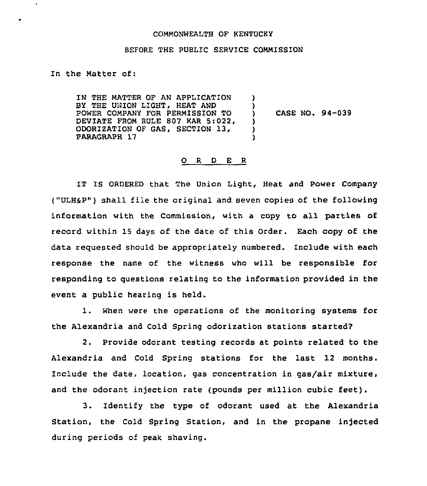## COMMONWEALTH OF KENTUCKY

## BEFORE THE PUBLIC SERVICE COMMISSION

## In the Matter of:

 $\ddot{\phantom{a}}$ 

IN THE MATTER OF AN APPLICATION BY THE UNION LIGHT, HEAT AND POWER COMPANY FOR PERMISSION TO DEVIATE FROM RULE 807 KAR 5:022, ODORIZATION OF GAS, SECTION 13, PARAGRAPH 17 ) ) ) ) )

) CASE NO. 94-039

## 0 <sup>R</sup> <sup>D</sup> E <sup>R</sup>

IT IS ORDERED that The Union Light, Heat and Power Company ("ULHSP") shall file the original and seven copies of the following information with the Commission, with a copy to all parties of record within 15 days of the date of this Order. Each copy of the data requested should be appropriately numbered. Include with each response the name of the witness who will be responsible for responding to questions relating to the information provided in the event a public hearing is held.

1. When were the operations of the monitoring systems for the Alexandria and Cold Spring odorization stations started?

2. Provide odorant testing records at points related to the Alexandria and Cold Spring stations for the last 12 months. Include the date, location, gas concentration in gas/air mixture, and the odorant injection rate (pounds per million cubic feet).

3. Identify the type of odorant used at the Alexandria Station, the Cold Spring Station, and in the propane injected during periods of peak shaving.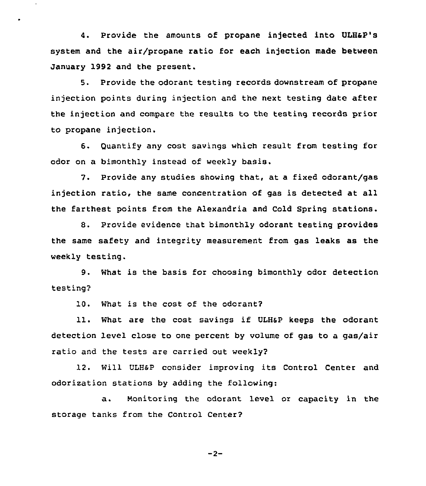4. provide the amounts of propane injected into ULHap's system and the air/propane ratio for each injection made between January 1992 and the present.

5. Provide the odorant testing records downstream of propane injection points during injection and the next testing date after the injection and compare the results to the testing records prior to propane injection.

6. Quantify any cost savings which result from testing for odor on a bimonthly instead of weekly basis.

7. Provide any studies showing that, at a fixed odorant/gas injection ratio, the same concentration of gas is detected at all the farthest points from the Alexandria and Cold Spring stations.

8. Provide evidence that bimonthly odorant testing provides the same safety and integrity measurement from gas leaks as the weekly testing.

9. What is the basis for choosing bimonthly odor detection testing?

10. What is the cost of the odorant2

11. What are the cost savings if ULHSP keeps the odorant detection level close to one percent by volume of gas to a gas/air ratio and the tests are carried out weekly?

12. Will ULH&P consider improving its Control Center and odorization stations by adding the following:

a. Monitoring the odorant level or capacity in the storage tanks from the Control Center2

 $-2-$